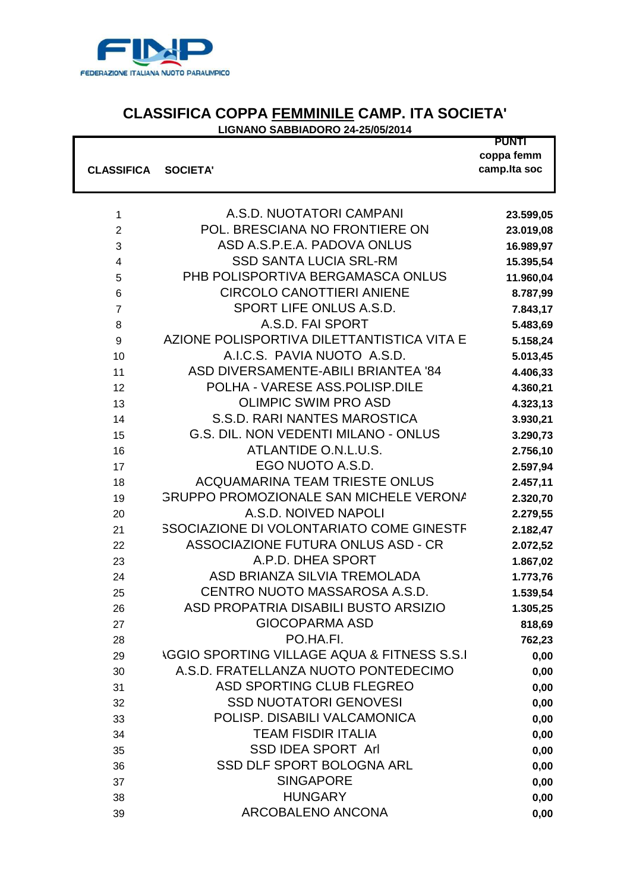

## **CLASSIFICA COPPA FEMMINILE CAMP. ITA SOCIETA'**

**LIGNANO SABBIADORO 24-25/05/2014**

|                   |                                                        | <b>PUNTI</b><br>coppa femm |
|-------------------|--------------------------------------------------------|----------------------------|
| <b>CLASSIFICA</b> | <b>SOCIETA'</b>                                        | camp.lta soc               |
|                   |                                                        |                            |
|                   |                                                        |                            |
| $\mathbf 1$       | A.S.D. NUOTATORI CAMPANI                               | 23.599,05                  |
| $\overline{c}$    | POL. BRESCIANA NO FRONTIERE ON                         | 23.019,08                  |
| 3                 | ASD A.S.P.E.A. PADOVA ONLUS                            | 16.989,97                  |
| 4                 | <b>SSD SANTA LUCIA SRL-RM</b>                          | 15.395,54                  |
| 5                 | PHB POLISPORTIVA BERGAMASCA ONLUS                      | 11.960,04                  |
| $\,6$             | <b>CIRCOLO CANOTTIERI ANIENE</b>                       | 8.787,99                   |
| $\overline{7}$    | SPORT LIFE ONLUS A.S.D.                                | 7.843,17                   |
| 8                 | A.S.D. FAI SPORT                                       | 5.483,69                   |
| 9                 | AZIONE POLISPORTIVA DILETTANTISTICA VITA E             | 5.158,24                   |
| 10                | A.I.C.S. PAVIA NUOTO A.S.D.                            | 5.013,45                   |
| 11                | ASD DIVERSAMENTE-ABILI BRIANTEA '84                    | 4.406,33                   |
| 12                | POLHA - VARESE ASS.POLISP.DILE                         | 4.360,21                   |
| 13                | <b>OLIMPIC SWIM PRO ASD</b>                            | 4.323,13                   |
| 14                | S.S.D. RARI NANTES MAROSTICA                           | 3.930,21                   |
| 15                | <b>G.S. DIL. NON VEDENTI MILANO - ONLUS</b>            | 3.290,73                   |
| 16                | ATLANTIDE O.N.L.U.S.                                   | 2.756,10                   |
| 17                | EGO NUOTO A.S.D.                                       | 2.597,94                   |
| 18                | <b>ACQUAMARINA TEAM TRIESTE ONLUS</b>                  | 2.457,11                   |
| 19                | <b>GRUPPO PROMOZIONALE SAN MICHELE VERONA</b>          | 2.320,70                   |
| 20                | A.S.D. NOIVED NAPOLI                                   | 2.279,55                   |
| 21                | <b>SSOCIAZIONE DI VOLONTARIATO COME GINESTF</b>        | 2.182,47                   |
| 22                | ASSOCIAZIONE FUTURA ONLUS ASD - CR                     | 2.072,52                   |
| 23                | A.P.D. DHEA SPORT                                      | 1.867,02                   |
| 24                | ASD BRIANZA SILVIA TREMOLADA                           | 1.773,76                   |
| 25                | CENTRO NUOTO MASSAROSA A.S.D.                          | 1.539,54                   |
| 26                | ASD PROPATRIA DISABILI BUSTO ARSIZIO                   | 1.305,25                   |
| 27                | <b>GIOCOPARMA ASD</b>                                  | 818,69                     |
| 28                | PO.HA.FI.                                              | 762,23                     |
| 29                | <b>\GGIO SPORTING VILLAGE AQUA &amp; FITNESS S.S.I</b> | 0,00                       |
| 30                | A.S.D. FRATELLANZA NUOTO PONTEDECIMO                   | 0,00                       |
| 31                | ASD SPORTING CLUB FLEGREO                              | 0,00                       |
| 32                | <b>SSD NUOTATORI GENOVESI</b>                          | 0,00                       |
| 33                | POLISP. DISABILI VALCAMONICA                           | 0,00                       |
| 34                | <b>TEAM FISDIR ITALIA</b>                              | 0,00                       |
| 35                | <b>SSD IDEA SPORT Arl</b>                              | 0,00                       |
| 36                | SSD DLF SPORT BOLOGNA ARL                              | 0,00                       |
| 37                | <b>SINGAPORE</b>                                       | 0,00                       |
| 38                | <b>HUNGARY</b>                                         | 0,00                       |
| 39                | <b>ARCOBALENO ANCONA</b>                               | 0,00                       |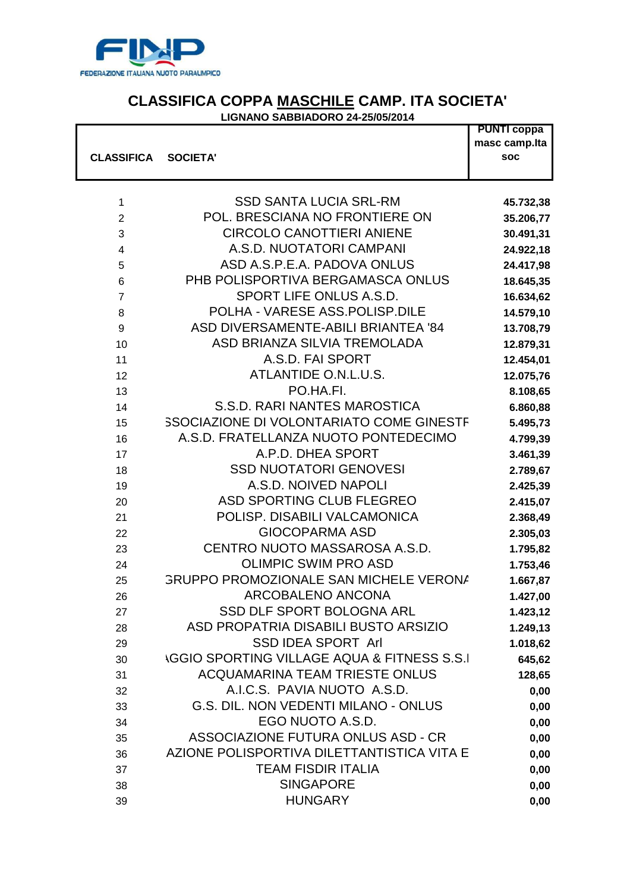

## **CLASSIFICA COPPA MASCHILE CAMP. ITA SOCIETA'**

## **LIGNANO SABBIADORO 24-25/05/2014**

|                         |                                                        | <b>PUNTI coppa</b><br>masc camp.lta |
|-------------------------|--------------------------------------------------------|-------------------------------------|
| <b>CLASSIFICA</b>       | <b>SOCIETA'</b>                                        | <b>SOC</b>                          |
|                         |                                                        |                                     |
| $\mathbf{1}$            | <b>SSD SANTA LUCIA SRL-RM</b>                          | 45.732,38                           |
| $\overline{2}$          | POL. BRESCIANA NO FRONTIERE ON                         | 35.206,77                           |
| 3                       | <b>CIRCOLO CANOTTIERI ANIENE</b>                       | 30.491,31                           |
| $\overline{\mathbf{4}}$ | A.S.D. NUOTATORI CAMPANI                               | 24.922,18                           |
| 5                       | ASD A.S.P.E.A. PADOVA ONLUS                            | 24.417,98                           |
| 6                       | PHB POLISPORTIVA BERGAMASCA ONLUS                      | 18.645,35                           |
| $\overline{7}$          | SPORT LIFE ONLUS A.S.D.                                | 16.634,62                           |
| 8                       | POLHA - VARESE ASS.POLISP.DILE                         | 14.579,10                           |
| 9                       | ASD DIVERSAMENTE-ABILI BRIANTEA '84                    | 13.708,79                           |
| 10                      | ASD BRIANZA SILVIA TREMOLADA                           | 12.879,31                           |
| 11                      | A.S.D. FAI SPORT                                       | 12.454,01                           |
| 12                      | ATLANTIDE O.N.L.U.S.                                   | 12.075,76                           |
| 13                      | PO.HA.FI.                                              | 8.108,65                            |
| 14                      | S.S.D. RARI NANTES MAROSTICA                           | 6.860,88                            |
| 15                      | <b>SSOCIAZIONE DI VOLONTARIATO COME GINESTF</b>        | 5.495,73                            |
| 16                      | A.S.D. FRATELLANZA NUOTO PONTEDECIMO                   | 4.799,39                            |
| 17                      | A.P.D. DHEA SPORT                                      | 3.461,39                            |
| 18                      | <b>SSD NUOTATORI GENOVESI</b>                          | 2.789,67                            |
| 19                      | A.S.D. NOIVED NAPOLI                                   | 2.425,39                            |
| 20                      | ASD SPORTING CLUB FLEGREO                              | 2.415,07                            |
| 21                      | POLISP. DISABILI VALCAMONICA                           | 2.368,49                            |
| 22                      | <b>GIOCOPARMA ASD</b>                                  | 2.305,03                            |
| 23                      | CENTRO NUOTO MASSAROSA A.S.D.                          | 1.795,82                            |
| 24                      | <b>OLIMPIC SWIM PRO ASD</b>                            | 1.753,46                            |
| 25                      | <b>GRUPPO PROMOZIONALE SAN MICHELE VERONA</b>          | 1.667,87                            |
| 26                      | <b>ARCOBALENO ANCONA</b>                               | 1.427,00                            |
| 27                      | <b>SSD DLF SPORT BOLOGNA ARL</b>                       | 1.423,12                            |
| 28                      | ASD PROPATRIA DISABILI BUSTO ARSIZIO                   | 1.249,13                            |
| 29                      | <b>SSD IDEA SPORT Arl</b>                              | 1.018,62                            |
| 30                      | <b>\GGIO SPORTING VILLAGE AQUA &amp; FITNESS S.S.I</b> | 645,62                              |
| 31                      | <b>ACQUAMARINA TEAM TRIESTE ONLUS</b>                  | 128,65                              |
| 32                      | A.I.C.S. PAVIA NUOTO A.S.D.                            | 0,00                                |
| 33                      | G.S. DIL. NON VEDENTI MILANO - ONLUS                   | 0,00                                |
| 34                      | EGO NUOTO A.S.D.                                       | 0,00                                |
| 35                      | ASSOCIAZIONE FUTURA ONLUS ASD - CR                     | 0,00                                |
| 36                      | AZIONE POLISPORTIVA DILETTANTISTICA VITA E             | 0,00                                |
| 37                      | <b>TEAM FISDIR ITALIA</b>                              | 0,00                                |
| 38                      | <b>SINGAPORE</b>                                       | 0,00                                |
| 39                      | <b>HUNGARY</b>                                         | 0,00                                |